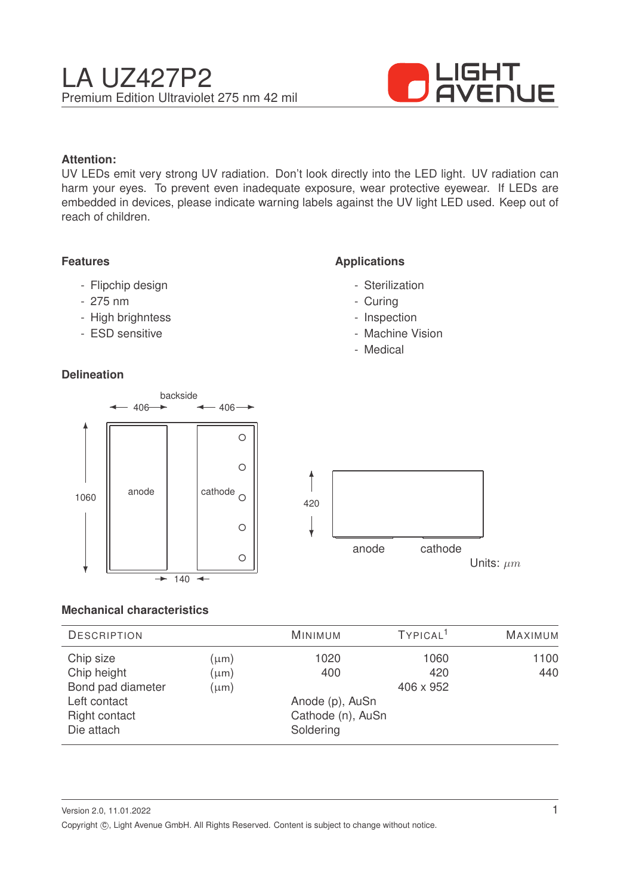

# **Attention:**

UV LEDs emit very strong UV radiation. Don't look directly into the LED light. UV radiation can harm your eyes. To prevent even inadequate exposure, wear protective eyewear. If LEDs are embedded in devices, please indicate warning labels against the UV light LED used. Keep out of reach of children.

# **Features**

- Flipchip design
- 275 nm
- High brighntess
- ESD sensitive

# **Delineation**

# **Applications**

- Sterilization
- Curing
- Inspection
- Machine Vision
- Medical



## **Mechanical characteristics**

| <b>DESCRIPTION</b> |           | <b>MINIMUM</b>    | TYPICAL <sup>1</sup> | <b>MAXIMUM</b> |
|--------------------|-----------|-------------------|----------------------|----------------|
| Chip size          | $(\mu m)$ | 1020              | 1060                 | 1100           |
| Chip height        | $(\mu m)$ | 400               | 420                  | 440            |
| Bond pad diameter  | $(\mu m)$ |                   | 406 x 952            |                |
| Left contact       |           | Anode (p), AuSn   |                      |                |
| Right contact      |           | Cathode (n), AuSn |                      |                |
| Die attach         |           | Soldering         |                      |                |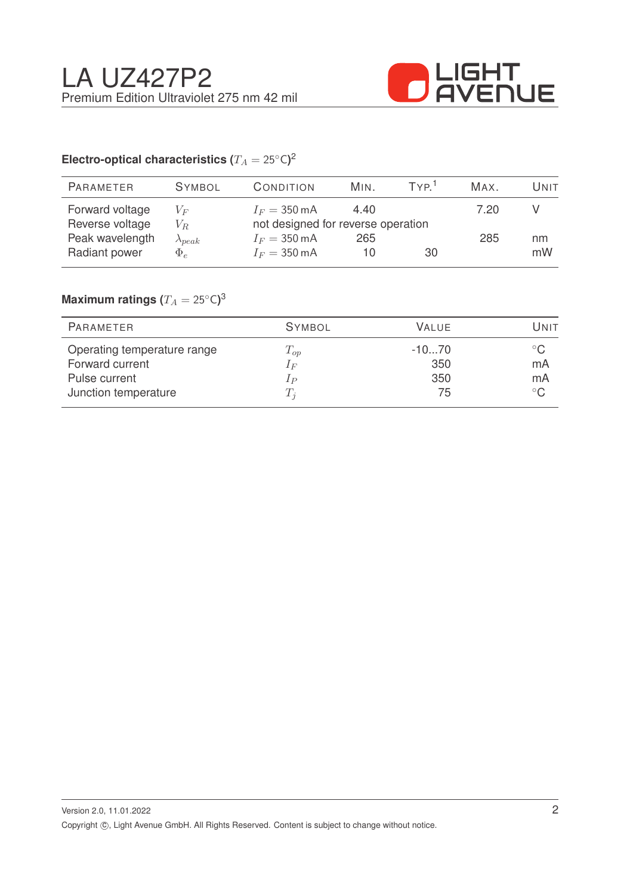

# Electro-optical characteristics ( $T_A = 25^{\circ} \text{C}$ )<sup>2</sup>

| <b>PARAMETER</b> | <b>SYMBOL</b>    | CONDITION                          | MIN. | TVP <sup>1</sup> | MAX. | Unit |
|------------------|------------------|------------------------------------|------|------------------|------|------|
| Forward voltage  | $V_F$            | $I_F = 350 \text{ mA}$             | 4.40 |                  | 7.20 |      |
| Reverse voltage  | $V_R$            | not designed for reverse operation |      |                  |      |      |
| Peak wavelength  | $\lambda_{peak}$ | $I_F = 350 \text{ mA}$             | 265  |                  | 285  | nm   |
| Radiant power    | $\Phi_e$         | $I_F = 350 \text{ mA}$             | 10   | 30               |      | mW   |
|                  |                  |                                    |      |                  |      |      |

# $\mathsf{Maximum}$  ratings  $(T_A = 25^{\circ} \mathsf{C})^3$

| PARAMETER                   | <b>SYMBOL</b> | VALUE   | Unit         |
|-----------------------------|---------------|---------|--------------|
| Operating temperature range | $T_{op}$      | $-1070$ | $^{\circ}$ C |
| Forward current             | $1_F$         | 350     | mA           |
| Pulse current               | $_{1P}$       | 350     | mA           |
| Junction temperature        | $T_i$         | 75      | $^{\circ}$ C |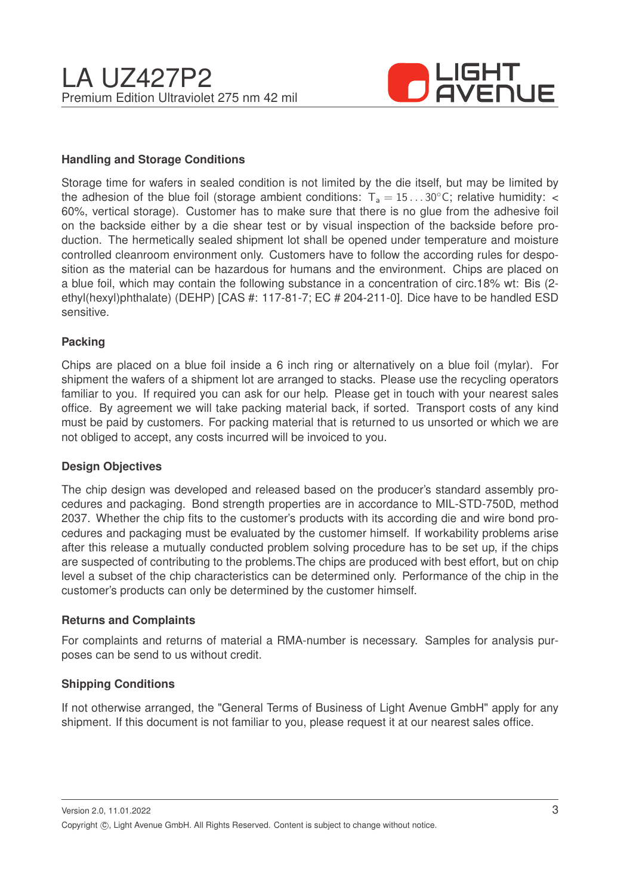

# **Handling and Storage Conditions**

Storage time for wafers in sealed condition is not limited by the die itself, but may be limited by the adhesion of the blue foil (storage ambient conditions:  $T_a = 15...30^{\circ}$ C; relative humidity: < 60%, vertical storage). Customer has to make sure that there is no glue from the adhesive foil on the backside either by a die shear test or by visual inspection of the backside before production. The hermetically sealed shipment lot shall be opened under temperature and moisture controlled cleanroom environment only. Customers have to follow the according rules for desposition as the material can be hazardous for humans and the environment. Chips are placed on a blue foil, which may contain the following substance in a concentration of circ.18% wt: Bis (2 ethyl(hexyl)phthalate) (DEHP) [CAS #: 117-81-7; EC # 204-211-0]. Dice have to be handled ESD sensitive.

## **Packing**

Chips are placed on a blue foil inside a 6 inch ring or alternatively on a blue foil (mylar). For shipment the wafers of a shipment lot are arranged to stacks. Please use the recycling operators familiar to you. If required you can ask for our help. Please get in touch with your nearest sales office. By agreement we will take packing material back, if sorted. Transport costs of any kind must be paid by customers. For packing material that is returned to us unsorted or which we are not obliged to accept, any costs incurred will be invoiced to you.

## **Design Objectives**

The chip design was developed and released based on the producer's standard assembly procedures and packaging. Bond strength properties are in accordance to MIL-STD-750D, method 2037. Whether the chip fits to the customer's products with its according die and wire bond procedures and packaging must be evaluated by the customer himself. If workability problems arise after this release a mutually conducted problem solving procedure has to be set up, if the chips are suspected of contributing to the problems.The chips are produced with best effort, but on chip level a subset of the chip characteristics can be determined only. Performance of the chip in the customer's products can only be determined by the customer himself.

## **Returns and Complaints**

For complaints and returns of material a RMA-number is necessary. Samples for analysis purposes can be send to us without credit.

## **Shipping Conditions**

If not otherwise arranged, the "General Terms of Business of Light Avenue GmbH" apply for any shipment. If this document is not familiar to you, please request it at our nearest sales office.

Version 2.0, 11.01.2022 Copyright ©, Light Avenue GmbH. All Rights Reserved. Content is subject to change without notice.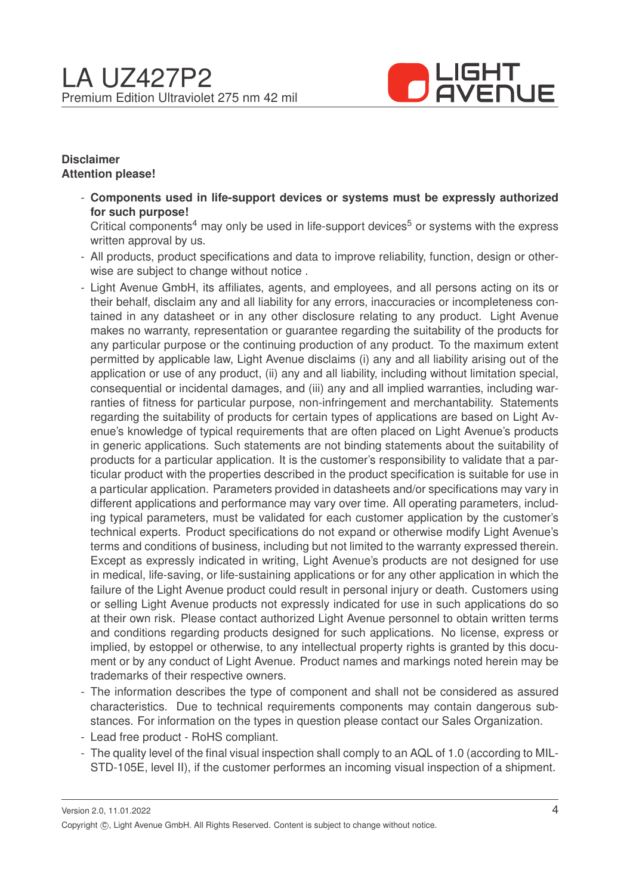

# **Disclaimer Attention please!**

- **Components used in life-support devices or systems must be expressly authorized for such purpose!**

Critical components<sup>4</sup> may only be used in life-support devices<sup>5</sup> or systems with the express written approval by us.

- All products, product specifications and data to improve reliability, function, design or otherwise are subject to change without notice .
- Light Avenue GmbH, its affiliates, agents, and employees, and all persons acting on its or their behalf, disclaim any and all liability for any errors, inaccuracies or incompleteness contained in any datasheet or in any other disclosure relating to any product. Light Avenue makes no warranty, representation or guarantee regarding the suitability of the products for any particular purpose or the continuing production of any product. To the maximum extent permitted by applicable law, Light Avenue disclaims (i) any and all liability arising out of the application or use of any product, (ii) any and all liability, including without limitation special, consequential or incidental damages, and (iii) any and all implied warranties, including warranties of fitness for particular purpose, non-infringement and merchantability. Statements regarding the suitability of products for certain types of applications are based on Light Avenue's knowledge of typical requirements that are often placed on Light Avenue's products in generic applications. Such statements are not binding statements about the suitability of products for a particular application. It is the customer's responsibility to validate that a particular product with the properties described in the product specification is suitable for use in a particular application. Parameters provided in datasheets and/or specifications may vary in different applications and performance may vary over time. All operating parameters, including typical parameters, must be validated for each customer application by the customer's technical experts. Product specifications do not expand or otherwise modify Light Avenue's terms and conditions of business, including but not limited to the warranty expressed therein. Except as expressly indicated in writing, Light Avenue's products are not designed for use in medical, life-saving, or life-sustaining applications or for any other application in which the failure of the Light Avenue product could result in personal injury or death. Customers using or selling Light Avenue products not expressly indicated for use in such applications do so at their own risk. Please contact authorized Light Avenue personnel to obtain written terms and conditions regarding products designed for such applications. No license, express or implied, by estoppel or otherwise, to any intellectual property rights is granted by this document or by any conduct of Light Avenue. Product names and markings noted herein may be trademarks of their respective owners.
- The information describes the type of component and shall not be considered as assured characteristics. Due to technical requirements components may contain dangerous substances. For information on the types in question please contact our Sales Organization.
- Lead free product RoHS compliant.
- The quality level of the final visual inspection shall comply to an AQL of 1.0 (according to MIL-STD-105E, level II), if the customer performes an incoming visual inspection of a shipment.